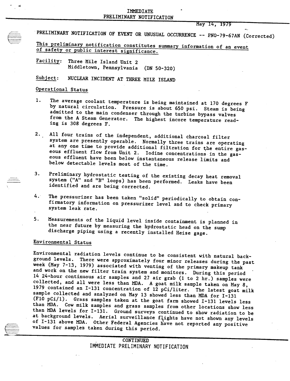INMUMINI<br>IMME VOMT PRELIMINARY NOTIFICATION

May 14, 1979

PRELIMINARY NOTIFICATION OF EVENT OR UNUSUAL OCCURRENCE -- PNO-79-67AN (Corrected)

This preliminary notification constitutes summary information of an event of safety or public interest significance.

Facility: Three Mile Island Unit 2 Middletown, Pennsylvania (DN 50-320)

Subject: NUCLEAR INCIDENT AT THREE MILE ISLAND

## Operational Status

f··········· \-----\_ ....-

- 1. The average coolant temperature is being maintained at 170 degrees F by natural circulation. Pressure is about 650 psi. Steam is being admitted to the main condenser through the turbine bypass valves from the A Steam Generator. The highest incore temperature reading is 308 degrees F.
- 2. All four trains of the independent, additional charcoal filter system are presently operable. Normally three trains are operating at any one time to provide additional filtration for the entire gaseous effluent flow from Unit 2. Iodine concentrations in the gaseous effluent have been below instantaneous release limits and below detectable levels most of the time.
- 3. Preliminary hydrostatic testing of the existing decay heat removal system ("A" and "B" loops) has been performed. Leaks have been identified and are being corrected.
- 4. The pressurizer has been taken "solid" periodically to obtain confirmatory information on pressurizer level and to check primary system leak rate.
- 5. Measurements of the liquid level inside containment is planned in the near future by measuring the hydrostatic head on the sump discharge piping using a recently installed Heise gage.

## Environmental Status

values for samples taken during this period.<br>
CONTINUED Environmental radiation levels continue to be consistent with natural background levels. There were approximately four minor releases during the past week (May 7-13, 1979) associated with venting of the primary makeup tank and work on the new filter train system and monitors. During this period 14 24-hour continuous air samples and 27 air grab (1 to 2 hr.) samples were collected, and all were less than MDA. A goat milk sample taken on May 8, 1979 contained an 1-131 concentration of 12 pCi/liter. The latest goat milk sample collected and analyzed on May 13 showed less than MDA for I-131 (FI0 pCi/1). Grass samples taken at the goat farm showed 1-131 levels less than MDA. Cow milk samples and grass samples from other locations show less than MDA levels for 1-131. Ground surveys continued to show radiation to be at background levels. Aerial surveillance flights have not shown any levels of  $I-13\overline{1}$  above MDA. Other Federal Agencies have not reported any positive